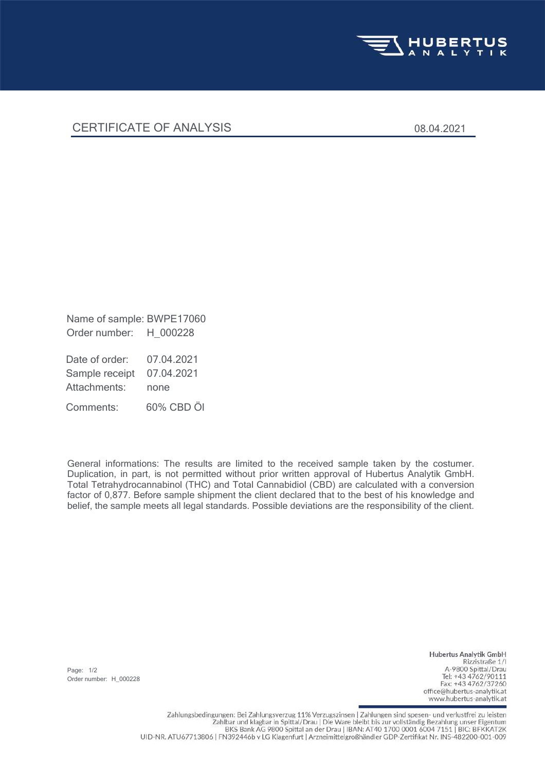

## CERTIFICATE OF ANALYSIS 08.04.2021

Order number: H\_000228 Name of sample: BWPE17060

Attachments: none Sample receipt 07.04.2021 Date of order: 07.04.2021

Comments: 60% CBD Öl

General informations: The results are limited to the received sample taken by the costumer. Duplication, in part, is not permitted without prior written approval of Hubertus Analytik GmbH. Total Tetrahydrocannabinol (THC) and Total Cannabidiol (CBD) are calculated with a conversion factor of 0,877. Before sample shipment the client declared that to the best of his knowledge and belief, the sample meets all legal standards. Possible deviations are the responsibility of the client.

Page: 1/2 Order number: H\_000228

Hubertus Analytik GmbH Rizzistraße 1/1 A-9800 Spittal/Drau Tel: +43 4762/90111 Fax: +43 4762/37260 office@hubertus-analytik.at www.hubertus-analytik.at

Zahlungsbedingungen: Bei Zahlungsverzug 11% Verzugszinsen | Zahlungen sind spesen- und verlustfrei zu leisten Zahlbar und klagbar in Spittal/Drau | Die Ware bleibt bis zur vollständig Bezahlung unser Eigentum BKS Bank AG 9800 Spittal an der Drau | IBAN: AT40 1700 0001 6004 7151 | BIC: BFKKAT2K UID-NR. ATU67713806 | FN392446b v LG Klagenfurt | Arzneimittelgroßhändler GDP-Zertifikat Nr. INS-482200-001-009